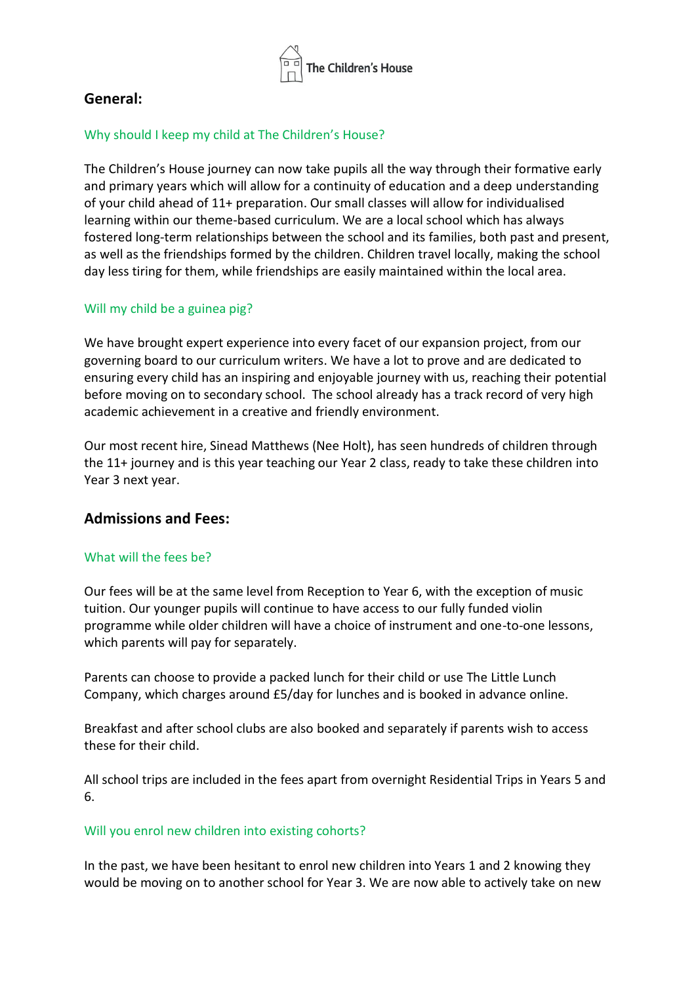

# **General:**

### Why should I keep my child at The Children's House?

The Children's House journey can now take pupils all the way through their formative early and primary years which will allow for a continuity of education and a deep understanding of your child ahead of 11+ preparation. Our small classes will allow for individualised learning within our theme-based curriculum. We are a local school which has always fostered long-term relationships between the school and its families, both past and present, as well as the friendships formed by the children. Children travel locally, making the school day less tiring for them, while friendships are easily maintained within the local area.

## Will my child be a guinea pig?

We have brought expert experience into every facet of our expansion project, from our governing board to our curriculum writers. We have a lot to prove and are dedicated to ensuring every child has an inspiring and enjoyable journey with us, reaching their potential before moving on to secondary school. The school already has a track record of very high academic achievement in a creative and friendly environment.

Our most recent hire, Sinead Matthews (Nee Holt), has seen hundreds of children through the 11+ journey and is this year teaching our Year 2 class, ready to take these children into Year 3 next year.

# **Admissions and Fees:**

### What will the fees be?

Our fees will be at the same level from Reception to Year 6, with the exception of music tuition. Our younger pupils will continue to have access to our fully funded violin programme while older children will have a choice of instrument and one-to-one lessons, which parents will pay for separately.

Parents can choose to provide a packed lunch for their child or use The Little Lunch Company, which charges around £5/day for lunches and is booked in advance online.

Breakfast and after school clubs are also booked and separately if parents wish to access these for their child.

All school trips are included in the fees apart from overnight Residential Trips in Years 5 and 6.

### Will you enrol new children into existing cohorts?

In the past, we have been hesitant to enrol new children into Years 1 and 2 knowing they would be moving on to another school for Year 3. We are now able to actively take on new